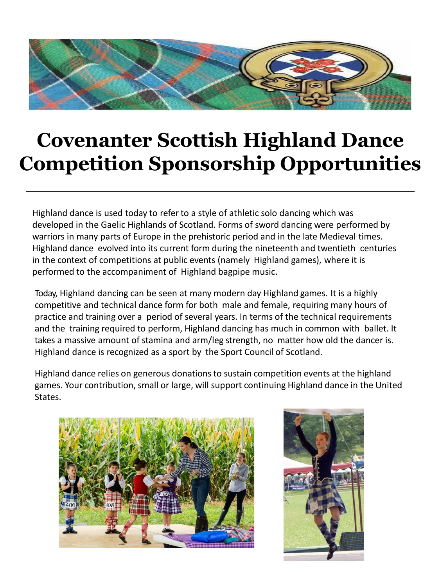

## **Covenanter Scottish Highland Dance Competition Sponsorship Opportunities**

Highland dance is used today to refer to a style of athletic solo dancing which was developed in the Gaelic Highlands of Scotland. Forms of sword dancing were performed by warriors in many parts of Europe in the prehistoric period and in the late Medieval times. Highland dance evolved into its current form during the nineteenth and twentieth centuries in the context of competitions at public events (namely Highland games), where it is performed to the accompaniment of Highland bagpipe music.

Today, Highland dancing can be seen at many modern day Highland games. It is a highly competitive and technical dance form for both male and female, requiring many hours of practice and training over a period of several years. In terms of the technical requirements and the training required to perform, Highland dancing has much in common with ballet. It takes a massive amount of stamina and arm/leg strength, no matter how old the dancer is. Highland dance is recognized as a sport by the Sport Council of Scotland.

Highland dance relies on generous donations to sustain competition events at the highland games. Your contribution, small or large, will support continuing Highland dance in the United States.